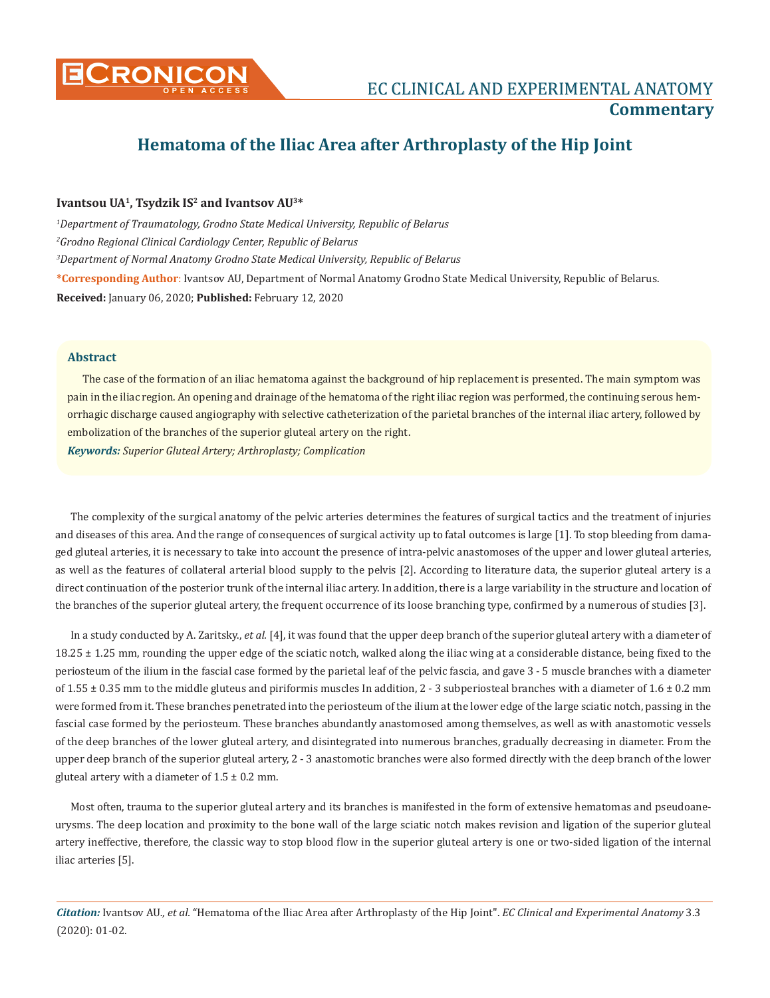

## **Hematoma of the Iliac Area after Arthroplasty of the Hip Joint**

## **Ivantsou UA1, Tsydzik IS2 and Ivantsov AU3\***

*1 Department of Traumatology, Grodno State Medical University, Republic of Belarus 2 Grodno Regional Clinical Cardiology Center, Republic of Belarus 3 Department of Normal Anatomy Grodno State Medical University, Republic of Belarus* **\*Corresponding Author**: Ivantsov AU, Department of Normal Anatomy Grodno State Medical University, Republic of Belarus. **Received:** January 06, 2020; **Published:** February 12, 2020

## **Abstract**

The case of the formation of an iliac hematoma against the background of hip replacement is presented. The main symptom was pain in the iliac region. An opening and drainage of the hematoma of the right iliac region was performed, the continuing serous hemorrhagic discharge caused angiography with selective catheterization of the parietal branches of the internal iliac artery, followed by embolization of the branches of the superior gluteal artery on the right.

*Keywords: Superior Gluteal Artery; Arthroplasty; Complication*

The complexity of the surgical anatomy of the pelvic arteries determines the features of surgical tactics and the treatment of injuries and diseases of this area. And the range of consequences of surgical activity up to fatal outcomes is large [1]. To stop bleeding from damaged gluteal arteries, it is necessary to take into account the presence of intra-pelvic anastomoses of the upper and lower gluteal arteries, as well as the features of collateral arterial blood supply to the pelvis [2]. According to literature data, the superior gluteal artery is a direct continuation of the posterior trunk of the internal iliac artery. In addition, there is a large variability in the structure and location of the branches of the superior gluteal artery, the frequent occurrence of its loose branching type, confirmed by a numerous of studies [3].

In a study conducted by A. Zaritsky., *et al.* [4], it was found that the upper deep branch of the superior gluteal artery with a diameter of 18.25 ± 1.25 mm, rounding the upper edge of the sciatic notch, walked along the iliac wing at a considerable distance, being fixed to the periosteum of the ilium in the fascial case formed by the parietal leaf of the pelvic fascia, and gave 3 - 5 muscle branches with a diameter of 1.55  $\pm$  0.35 mm to the middle gluteus and piriformis muscles In addition, 2 - 3 subperiosteal branches with a diameter of 1.6  $\pm$  0.2 mm were formed from it. These branches penetrated into the periosteum of the ilium at the lower edge of the large sciatic notch, passing in the fascial case formed by the periosteum. These branches abundantly anastomosed among themselves, as well as with anastomotic vessels of the deep branches of the lower gluteal artery, and disintegrated into numerous branches, gradually decreasing in diameter. From the upper deep branch of the superior gluteal artery, 2 - 3 anastomotic branches were also formed directly with the deep branch of the lower gluteal artery with a diameter of  $1.5 \pm 0.2$  mm.

Most often, trauma to the superior gluteal artery and its branches is manifested in the form of extensive hematomas and pseudoaneurysms. The deep location and proximity to the bone wall of the large sciatic notch makes revision and ligation of the superior gluteal artery ineffective, therefore, the classic way to stop blood flow in the superior gluteal artery is one or two-sided ligation of the internal iliac arteries [5].

*Citation:* Ivantsov AU*., et al.* "Hematoma of the Iliac Area after Arthroplasty of the Hip Joint". *EC Clinical and Experimental Anatomy* 3.3 (2020): 01-02.